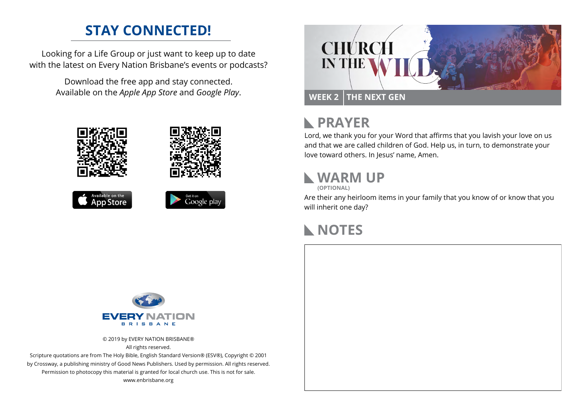### **STAY CONNECTED!**

Looking for a Life Group or just want to keep up to date with the latest on Every Nation Brisbane's events or podcasts?

> Download the free app and stay connected. Available on the *Apple App Store* and *Google Play*.











# **N** PRAYER

Lord, we thank you for your Word that affirms that you lavish your love on us and that we are called children of God. Help us, in turn, to demonstrate your love toward others. In Jesus' name, Amen.

## **WARM UP**

**(OPTIONAL)**

Are their any heirloom items in your family that you know of or know that you will inherit one day?

### **NOTES**



© 2019 by EVERY NATION BRISBANE® All rights reserved.

Scripture quotations are from The Holy Bible, English Standard Version® (ESV®), Copyright © 2001 by Crossway, a publishing ministry of Good News Publishers. Used by permission. All rights reserved. Permission to photocopy this material is granted for local church use. This is not for sale. www.enbrisbane.org